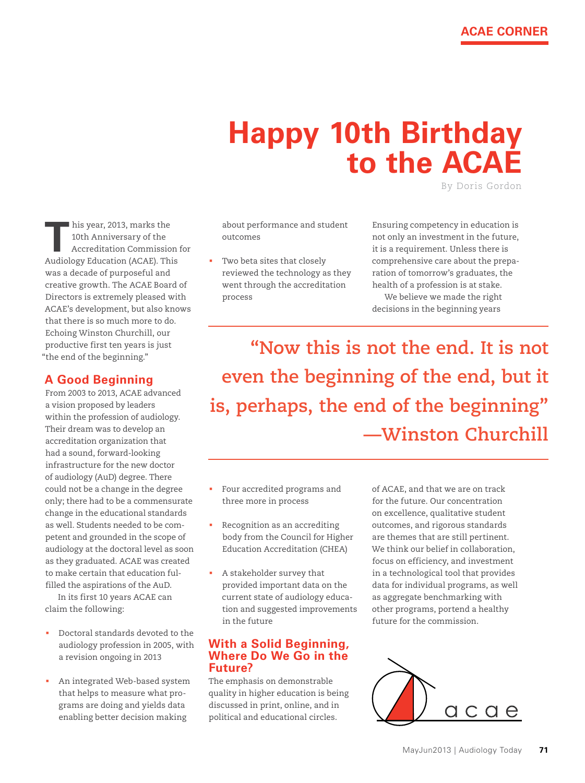## **Happy 10th Birthday to the ACAE**

By Doris gordon

**T** his year, 2013, marks the 10th Anniversary of the Accreditation Commission for Audiology Education (ACAE). This was a decade of purposeful and creative growth. The ACAE Board of Directors is extremely pleased with ACAE's development, but also knows that there is so much more to do. Echoing Winston Churchill, our productive first ten years is just "the end of the beginning."

## **A Good Beginning**

From 2003 to 2013, ACAE advanced a vision proposed by leaders within the profession of audiology. Their dream was to develop an accreditation organization that had a sound, forward-looking infrastructure for the new doctor of audiology (AuD) degree. There could not be a change in the degree only; there had to be a commensurate change in the educational standards as well. Students needed to be competent and grounded in the scope of audiology at the doctoral level as soon as they graduated. ACAE was created to make certain that education fulfilled the aspirations of the AuD.

In its first 10 years ACAE can claim the following:

- Doctoral standards devoted to the audiology profession in 2005, with a revision ongoing in 2013
- An integrated Web-based system that helps to measure what programs are doing and yields data enabling better decision making

about performance and student outcomes

 Two beta sites that closely reviewed the technology as they went through the accreditation process

Ensuring competency in education is not only an investment in the future, it is a requirement. Unless there is comprehensive care about the preparation of tomorrow's graduates, the health of a profession is at stake.

We believe we made the right decisions in the beginning years

**"Now this is not the end. It is not even the beginning of the end, but it is, perhaps, the end of the beginning" —Winston Churchill**

- Four accredited programs and three more in process
- Recognition as an accrediting body from the Council for Higher Education Accreditation (CHEA)
- A stakeholder survey that provided important data on the current state of audiology education and suggested improvements in the future

## **With a Solid Beginning, Where Do We Go in the Future?**

The emphasis on demonstrable quality in higher education is being discussed in print, online, and in political and educational circles.

of ACAE, and that we are on track for the future. Our concentration on excellence, qualitative student outcomes, and rigorous standards are themes that are still pertinent. We think our belief in collaboration, focus on efficiency, and investment in a technological tool that provides data for individual programs, as well as aggregate benchmarking with other programs, portend a healthy future for the commission.